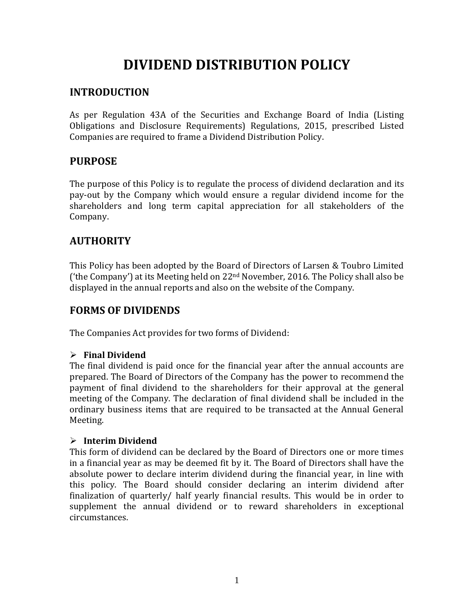# **DIVIDEND DISTRIBUTION POLICY**

### **INTRODUCTION**

As per Regulation 43A of the Securities and Exchange Board of India (Listing Obligations and Disclosure Requirements) Regulations, 2015, prescribed Listed Companies are required to frame a Dividend Distribution Policy.

## **PURPOSE**

The purpose of this Policy is to regulate the process of dividend declaration and its pay-out by the Company which would ensure a regular dividend income for the shareholders and long term capital appreciation for all stakeholders of the Company.

# **AUTHORITY**

This Policy has been adopted by the Board of Directors of Larsen & Toubro Limited ('the Company') at its Meeting held on  $22<sup>nd</sup>$  November, 2016. The Policy shall also be displayed in the annual reports and also on the website of the Company.

## **FORMS OF DIVIDENDS**

The Companies Act provides for two forms of Dividend:

#### ➢ **Final Dividend**

The final dividend is paid once for the financial year after the annual accounts are prepared. The Board of Directors of the Company has the power to recommend the payment of final dividend to the shareholders for their approval at the general meeting of the Company. The declaration of final dividend shall be included in the ordinary business items that are required to be transacted at the Annual General Meeting.

#### ➢ **Interim Dividend**

This form of dividend can be declared by the Board of Directors one or more times in a financial year as may be deemed fit by it. The Board of Directors shall have the absolute power to declare interim dividend during the financial year, in line with this policy. The Board should consider declaring an interim dividend after finalization of quarterly/ half yearly financial results. This would be in order to supplement the annual dividend or to reward shareholders in exceptional circumstances.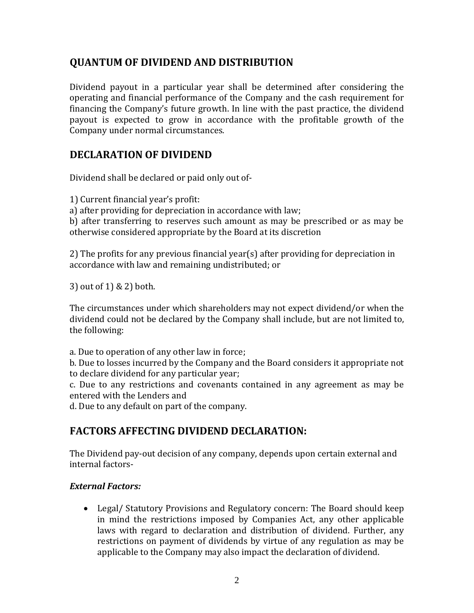## **QUANTUM OF DIVIDEND AND DISTRIBUTION**

Dividend payout in a particular year shall be determined after considering the operating and financial performance of the Company and the cash requirement for financing the Company's future growth. In line with the past practice, the dividend payout is expected to grow in accordance with the profitable growth of the Company under normal circumstances.

## **DECLARATION OF DIVIDEND**

Dividend shall be declared or paid only out of-

1) Current financial year's profit:

a) after providing for depreciation in accordance with law;

b) after transferring to reserves such amount as may be prescribed or as may be otherwise considered appropriate by the Board at its discretion

2) The profits for any previous financial year(s) after providing for depreciation in accordance with law and remaining undistributed; or

3) out of 1) & 2) both.

The circumstances under which shareholders may not expect dividend/or when the dividend could not be declared by the Company shall include, but are not limited to, the following:

a. Due to operation of any other law in force;

b. Due to losses incurred by the Company and the Board considers it appropriate not to declare dividend for any particular year;

c. Due to any restrictions and covenants contained in any agreement as may be entered with the Lenders and

d. Due to any default on part of the company.

# **FACTORS AFFECTING DIVIDEND DECLARATION:**

The Dividend pay-out decision of any company, depends upon certain external and internal factors-

#### *External Factors:*

• Legal/ Statutory Provisions and Regulatory concern: The Board should keep in mind the restrictions imposed by Companies Act, any other applicable laws with regard to declaration and distribution of dividend. Further, any restrictions on payment of dividends by virtue of any regulation as may be applicable to the Company may also impact the declaration of dividend.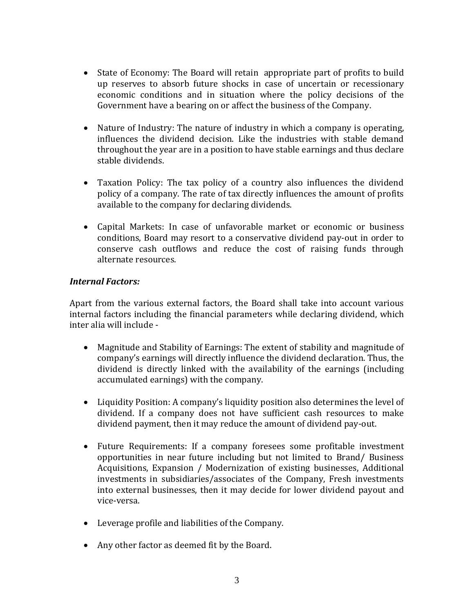- State of Economy: The Board will retain appropriate part of profits to build up reserves to absorb future shocks in case of uncertain or recessionary economic conditions and in situation where the policy decisions of the Government have a bearing on or affect the business of the Company.
- Nature of Industry: The nature of industry in which a company is operating, influences the dividend decision. Like the industries with stable demand throughout the year are in a position to have stable earnings and thus declare stable dividends.
- Taxation Policy: The tax policy of a country also influences the dividend policy of a company. The rate of tax directly influences the amount of profits available to the company for declaring dividends.
- Capital Markets: In case of unfavorable market or economic or business conditions, Board may resort to a conservative dividend pay-out in order to conserve cash outflows and reduce the cost of raising funds through alternate resources.

#### *Internal Factors:*

Apart from the various external factors, the Board shall take into account various internal factors including the financial parameters while declaring dividend, which inter alia will include -

- Magnitude and Stability of Earnings: The extent of stability and magnitude of company's earnings will directly influence the dividend declaration. Thus, the dividend is directly linked with the availability of the earnings (including accumulated earnings) with the company.
- Liquidity Position: A company's liquidity position also determines the level of dividend. If a company does not have sufficient cash resources to make dividend payment, then it may reduce the amount of dividend pay-out.
- Future Requirements: If a company foresees some profitable investment opportunities in near future including but not limited to Brand/ Business Acquisitions, Expansion / Modernization of existing businesses, Additional investments in subsidiaries/associates of the Company, Fresh investments into external businesses, then it may decide for lower dividend payout and vice-versa.
- Leverage profile and liabilities of the Company.
- Any other factor as deemed fit by the Board.